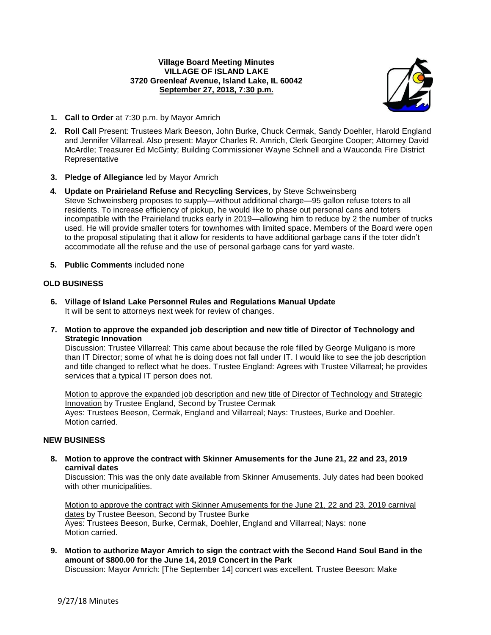### **Village Board Meeting Minutes VILLAGE OF ISLAND LAKE 3720 Greenleaf Avenue, Island Lake, IL 60042 September 27, 2018, 7:30 p.m.**



- **1. Call to Order** at 7:30 p.m. by Mayor Amrich
- **2. Roll Call** Present: Trustees Mark Beeson, John Burke, Chuck Cermak, Sandy Doehler, Harold England and Jennifer Villarreal. Also present: Mayor Charles R. Amrich, Clerk Georgine Cooper; Attorney David McArdle; Treasurer Ed McGinty; Building Commissioner Wayne Schnell and a Wauconda Fire District Representative
- **3. Pledge of Allegiance** led by Mayor Amrich
- **4. Update on Prairieland Refuse and Recycling Services**, by Steve Schweinsberg Steve Schweinsberg proposes to supply—without additional charge—95 gallon refuse toters to all residents. To increase efficiency of pickup, he would like to phase out personal cans and toters incompatible with the Prairieland trucks early in 2019—allowing him to reduce by 2 the number of trucks used. He will provide smaller toters for townhomes with limited space. Members of the Board were open to the proposal stipulating that it allow for residents to have additional garbage cans if the toter didn't accommodate all the refuse and the use of personal garbage cans for yard waste.
- **5. Public Comments** included none

## **OLD BUSINESS**

- **6. Village of Island Lake Personnel Rules and Regulations Manual Update** It will be sent to attorneys next week for review of changes.
- **7. Motion to approve the expanded job description and new title of Director of Technology and Strategic Innovation**

Discussion: Trustee Villarreal: This came about because the role filled by George Muligano is more than IT Director; some of what he is doing does not fall under IT. I would like to see the job description and title changed to reflect what he does. Trustee England: Agrees with Trustee Villarreal; he provides services that a typical IT person does not.

Motion to approve the expanded job description and new title of Director of Technology and Strategic Innovation by Trustee England, Second by Trustee Cermak Ayes: Trustees Beeson, Cermak, England and Villarreal; Nays: Trustees, Burke and Doehler. Motion carried.

### **NEW BUSINESS**

**8. Motion to approve the contract with Skinner Amusements for the June 21, 22 and 23, 2019 carnival dates**

Discussion: This was the only date available from Skinner Amusements. July dates had been booked with other municipalities.

Motion to approve the contract with Skinner Amusements for the June 21, 22 and 23, 2019 carnival dates by Trustee Beeson, Second by Trustee Burke Ayes: Trustees Beeson, Burke, Cermak, Doehler, England and Villarreal; Nays: none Motion carried.

**9. Motion to authorize Mayor Amrich to sign the contract with the Second Hand Soul Band in the amount of \$800.00 for the June 14, 2019 Concert in the Park**

Discussion: Mayor Amrich: [The September 14] concert was excellent. Trustee Beeson: Make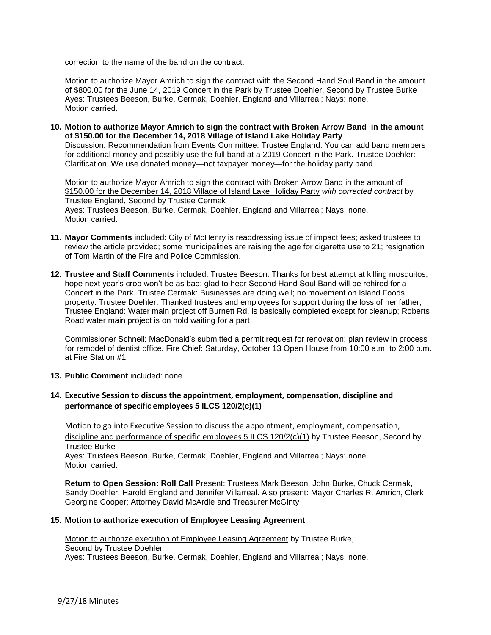correction to the name of the band on the contract.

Motion to authorize Mayor Amrich to sign the contract with the Second Hand Soul Band in the amount of \$800.00 for the June 14, 2019 Concert in the Park by Trustee Doehler, Second by Trustee Burke Ayes: Trustees Beeson, Burke, Cermak, Doehler, England and Villarreal; Nays: none. Motion carried.

**10. Motion to authorize Mayor Amrich to sign the contract with Broken Arrow Band in the amount of \$150.00 for the December 14, 2018 Village of Island Lake Holiday Party**

Discussion: Recommendation from Events Committee. Trustee England: You can add band members for additional money and possibly use the full band at a 2019 Concert in the Park. Trustee Doehler: Clarification: We use donated money—not taxpayer money—for the holiday party band.

Motion to authorize Mayor Amrich to sign the contract with Broken Arrow Band in the amount of \$150.00 for the December 14, 2018 Village of Island Lake Holiday Party *with corrected contract* by Trustee England, Second by Trustee Cermak Ayes: Trustees Beeson, Burke, Cermak, Doehler, England and Villarreal; Nays: none. Motion carried.

- **11. Mayor Comments** included: City of McHenry is readdressing issue of impact fees; asked trustees to review the article provided; some municipalities are raising the age for cigarette use to 21; resignation of Tom Martin of the Fire and Police Commission.
- **12. Trustee and Staff Comments** included: Trustee Beeson: Thanks for best attempt at killing mosquitos; hope next year's crop won't be as bad; glad to hear Second Hand Soul Band will be rehired for a Concert in the Park. Trustee Cermak: Businesses are doing well; no movement on Island Foods property. Trustee Doehler: Thanked trustees and employees for support during the loss of her father, Trustee England: Water main project off Burnett Rd. is basically completed except for cleanup; Roberts Road water main project is on hold waiting for a part.

Commissioner Schnell: MacDonald's submitted a permit request for renovation; plan review in process for remodel of dentist office. Fire Chief: Saturday, October 13 Open House from 10:00 a.m. to 2:00 p.m. at Fire Station #1.

- **13. Public Comment** included: none
- **14. Executive Session to discuss the appointment, employment, compensation, discipline and performance of specific employees 5 ILCS 120/2(c)(1)**

Motion to go into Executive Session to discuss the appointment, employment, compensation, discipline and performance of specific employees 5 ILCS 120/2(c)(1) by Trustee Beeson, Second by Trustee Burke

Ayes: Trustees Beeson, Burke, Cermak, Doehler, England and Villarreal; Nays: none. Motion carried.

**Return to Open Session: Roll Call** Present: Trustees Mark Beeson, John Burke, Chuck Cermak, Sandy Doehler, Harold England and Jennifer Villarreal. Also present: Mayor Charles R. Amrich, Clerk Georgine Cooper; Attorney David McArdle and Treasurer McGinty

### **15. Motion to authorize execution of Employee Leasing Agreement**

Motion to authorize execution of Employee Leasing Agreement by Trustee Burke, Second by Trustee Doehler Ayes: Trustees Beeson, Burke, Cermak, Doehler, England and Villarreal; Nays: none.